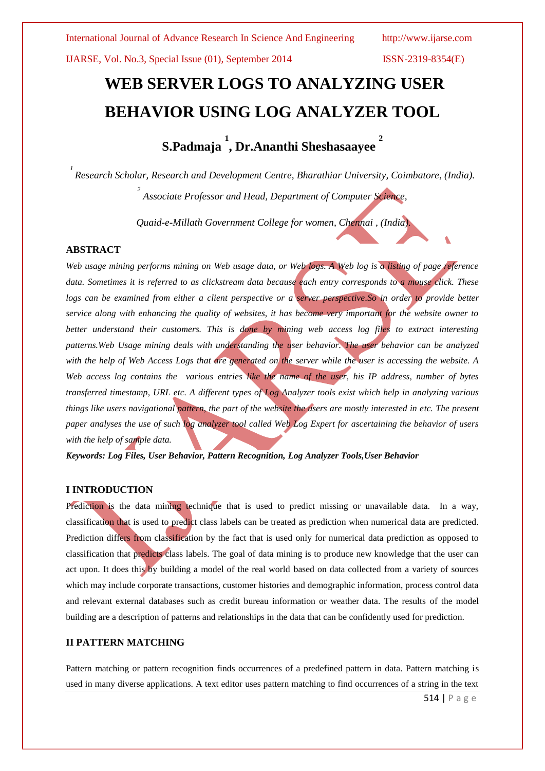# **[WEB SERVER LOGS](http://www.infotoday.com/cilmag/jan05/coombs.shtml) TO ANALYZING USER BEHAVIOR USING LOG ANALYZER TOOL**

**S.Padmaja 1 , Dr.Ananthi Sheshasaayee 2** 

*1 Research Scholar, Research and Development Centre, Bharathiar University, Coimbatore, (India). 2 Associate Professor and Head, Department of Computer Science,* 

*Quaid-e-Millath Government College for women, Chennai , (India).*

# **ABSTRACT**

*Web usage mining performs mining on Web usage data, or Web logs. A Web log is a listing of page reference data. Sometimes it is referred to as clickstream data because each entry corresponds to a mouse click. These logs can be examined from either a client perspective or a server perspective. So in order to provide better service along with enhancing the quality of websites, it has become very important for the website owner to better understand their customers. This is done by mining web access log files to extract interesting patterns.Web Usage mining deals with understanding the user behavior. The user behavior can be analyzed*  with the help of Web Access Logs that are generated on the server while the user is accessing the website. A *Web access log contains the various entries like the name of the user, his IP address, number of bytes transferred timestamp, URL etc. A different types of Log Analyzer tools exist which help in analyzing various things like users navigational pattern, the part of the website the users are mostly interested in etc. The present paper analyses the use of such log analyzer tool called Web Log Expert for ascertaining the behavior of users with the help of sample data.*

*Keywords: Log Files, User Behavior, Pattern Recognition, Log Analyzer Tools,User Behavior*

# **I INTRODUCTION**

Prediction is the data mining technique that is used to predict missing or unavailable data. In a way, classification that is used to predict class labels can be treated as prediction when numerical data are predicted. Prediction differs from classification by the fact that is used only for numerical data prediction as opposed to classification that predicts class labels. The goal of data mining is to produce new knowledge that the user can act upon. It does this by building a model of the real world based on data collected from a variety of sources which may include corporate transactions, customer histories and demographic information, process control data and relevant external databases such as credit bureau information or weather data. The results of the model building are a description of patterns and relationships in the data that can be confidently used for prediction.

## **II PATTERN MATCHING**

Pattern matching or pattern recognition finds occurrences of a predefined pattern in data. Pattern matching is used in many diverse applications. A text editor uses pattern matching to find occurrences of a string in the text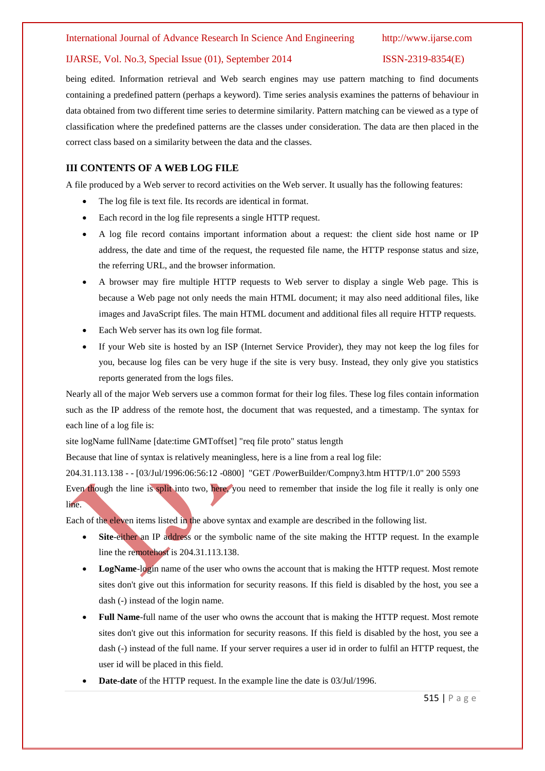being edited. Information retrieval and Web search engines may use pattern matching to find documents containing a predefined pattern (perhaps a keyword). Time series analysis examines the patterns of behaviour in data obtained from two different time series to determine similarity. Pattern matching can be viewed as a type of classification where the predefined patterns are the classes under consideration. The data are then placed in the correct class based on a similarity between the data and the classes.

# **III CONTENTS OF A WEB LOG FILE**

A file produced by a Web server to record activities on the Web server. It usually has the following features:

- The log file is text file. Its records are identical in format.
- Each record in the log file represents a single HTTP request.
- A log file record contains important information about a request: the client side host name or IP address, the date and time of the request, the requested file name, the HTTP response status and size, the referring URL, and the browser information.
- A browser may fire multiple HTTP requests to Web server to display a single Web page. This is because a Web page not only needs the main HTML document; it may also need additional files, like images and JavaScript files. The main HTML document and additional files all require HTTP requests.
- Each Web server has its own log file format.
- If your Web site is hosted by an ISP (Internet Service Provider), they may not keep the log files for you, because log files can be very huge if the site is very busy. Instead, they only give you statistics reports generated from the logs files.

Nearly all of the major Web servers use a common format for their log files. These log files contain information such as the IP address of the remote host, the document that was requested, and a timestamp. The syntax for each line of a log file is:

site logName fullName [date:time GMToffset] "req file proto" status length

Because that line of syntax is relatively meaningless, here is a line from a real log file:

204.31.113.138 - - [03/Jul/1996:06:56:12 -0800] "GET /PowerBuilder/Compny3.htm HTTP/1.0" 200 5593

Even though the line is split into two, here, you need to remember that inside the log file it really is only one line.

Each of the eleven items listed in the above syntax and example are described in the following list.

- **Site**-either an IP address or the symbolic name of the site making the HTTP request. In the example line the remotehost is 204.31.113.138.
- LogName-login name of the user who owns the account that is making the HTTP request. Most remote sites don't give out this information for security reasons. If this field is disabled by the host, you see a dash (-) instead of the login name.
- **Full Name**-full name of the user who owns the account that is making the HTTP request. Most remote sites don't give out this information for security reasons. If this field is disabled by the host, you see a dash (-) instead of the full name. If your server requires a user id in order to fulfil an HTTP request, the user id will be placed in this field.
- **Date-date** of the HTTP request. In the example line the date is 03/Jul/1996.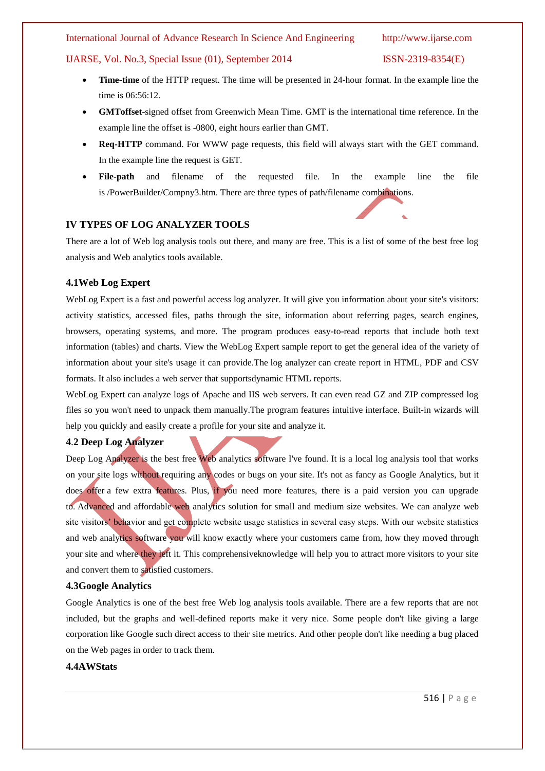# IJARSE, Vol. No.3, Special Issue (01), September 2014 ISSN-2319-8354(E)

- **Time-time** of the HTTP request. The time will be presented in 24-hour format. In the example line the time is 06:56:12.
- **GMToffset**-signed offset from Greenwich Mean Time. GMT is the international time reference. In the example line the offset is -0800, eight hours earlier than GMT.
- **Req-HTTP** command. For WWW page requests, this field will always start with the GET command. In the example line the request is GET.
- **File-path** and filename of the requested file. In the example line the file is /PowerBuilder/Compny3.htm. There are three types of path/filename combinations.

# **IV TYPES OF LOG ANALYZER TOOLS**

There are a lot of Web log analysis tools out there, and many are free. This is a list of some of the best free log analysis and Web analytics tools available.

### **4.1Web Log Expert**

WebLog Expert is a fast and powerful access log analyzer. It will give you information about your site's visitors: activity statistics, accessed files, paths through the site, information about referring pages, search engines, browsers, operating systems, and more. The program produces easy-to-read reports that include both text information (tables) and charts. View the WebLog Expert [sample report](http://www.weblogexpert.com/sample/index.htm) to get the general idea of the variety of information about your site's usage it can provide.The log analyzer can create report in HTML, PDF and CSV formats. It also includes a web server that support[sdynamic HTML reports.](http://demo.weblogexpert.com/Login.aspx?ReturnUrl=/Report.aspx?id=1&username=demo&password=demo)

WebLog Expert can analyze logs of Apache and IIS web servers. It can even read GZ and ZIP compressed log files so you won't need to unpack them manually.The program features intuitive interface. Built-in wizards will help you quickly and easily create a profile for your site and analyze it.

### **4**.**2 [Deep Log Analyzer](http://www.deep-software.com/)**

Deep Log Analyzer is the best free Web analytics software I've found. It is a local log analysis tool that works on your site logs without requiring any codes or bugs on your site. It's not as fancy as Google Analytics, but it does offer a few extra features. Plus, if you need more features, there is a paid version you can upgrade to. Advanced and affordable web analytics solution for small and medium size websites. We can analyze web site visitors' behavior and get complete website usage statistics in several easy steps. With our website statistics and web analytics software you will know exactly where your customers came from, how they moved through your site and where they left it. This comprehensiveknowledge will help you to attract more visitors to your site and convert them to satisfied customers.

# **4.[3Google Analytics](http://www.google.com/analytics/)**

Google Analytics is one of the best free Web log analysis tools available. There are a few reports that are not included, but the graphs and well-defined reports make it very nice. Some people don't like giving a large corporation like Google such direct access to their site metrics. And other people don't like needing a bug placed on the Web pages in order to track them.

# **[4.4AWStats](http://awstats.sourceforge.net/)**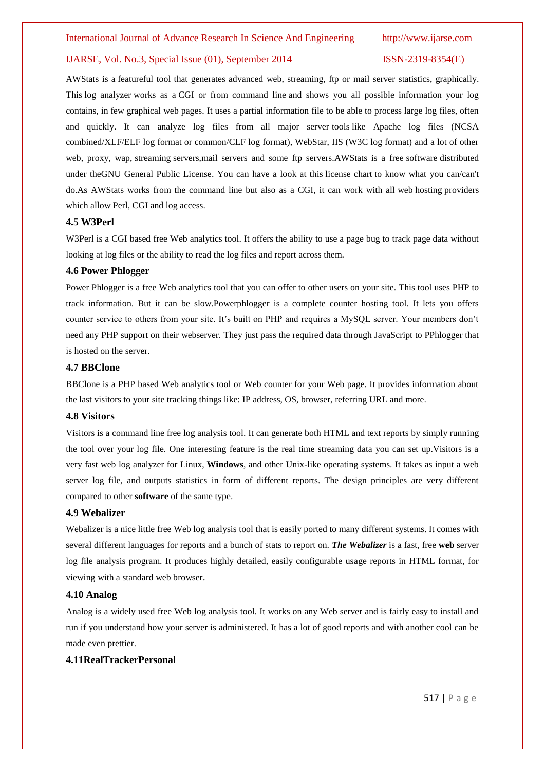AWStats is a featureful tool that generates advanced web, streaming, ftp or mail server statistics, graphically. This log analyzer works as a CGI or from command line and shows you all possible information your log contains, in few graphical web pages. It uses a partial information file to be able to process large log files, often and quickly. It can analyze log files from all major server tools like Apache log files (NCSA combined/XLF/ELF log format or common/CLF log format), WebStar, IIS (W3C log format) and a lot of other web, proxy, wap, streaming servers,mail servers and some ftp servers.AWStats is a free software distributed under theGNU General Public License. You can have a look at this license chart to know what you can/can't do.As AWStats works from the command line but also as a CGI, it can work with all web hosting providers which allow Perl, CGI and log access.

### **4.5 [W3Perl](http://www.w3perl.com/)**

W3Perl is a CGI based free Web analytics tool. It offers the ability to use a page bug to track page data without looking at log files or the ability to read the log files and report across them.

### **4.6 [Power Phlogger](http://pphlogger.phpee.com/)**

Power Phlogger is a free Web analytics tool that you can offer to other users on your site. This tool uses PHP to track information. But it can be slow.Powerphlogger is a complete counter hosting tool. It lets you offers counter service to others from your site. It's built on PHP and requires a MySQL server. Your members don't need any PHP support on their webserver. They just pass the required data through JavaScript to PPhlogger that is hosted on the server.

# **4.7 [BBClone](http://bbclone.de/)**

BBClone is a PHP based Web analytics tool or Web counter for your Web page. It provides information about the last visitors to your site tracking things like: IP address, OS, browser, referring URL and more.

# **4.8 [Visitors](http://www.hping.org/visitors/)**

Visitors is a command line free log analysis tool. It can generate both HTML and text reports by simply running the tool over your log file. One interesting feature is the real time streaming data you can set up.Visitors is a very fast web log analyzer for Linux, **Windows**, and other Unix-like operating systems. It takes as input a web server log file, and outputs statistics in form of different reports. The design principles are very different compared to other **software** of the same type.

# **4.9 [Webalizer](http://www.mrunix.net/webalizer/)**

Webalizer is a nice little free Web log analysis tool that is easily ported to many different systems. It comes with several different languages for reports and a bunch of stats to report on. *The Webalizer* is a fast, free **web** server log file analysis program. It produces highly detailed, easily configurable usage reports in HTML format, for viewing with a standard web browser.

### **4.10 [Analog](http://www.analog.cx/)**

Analog is a widely used free Web log analysis tool. It works on any Web server and is fairly easy to install and run if you understand how your server is administered. It has a lot of good reports and with another cool can be made even prettier.

# **[4.11RealTrackerPersonal](http://www.realtracker.com/personal/other-free-website-statistics.asp)**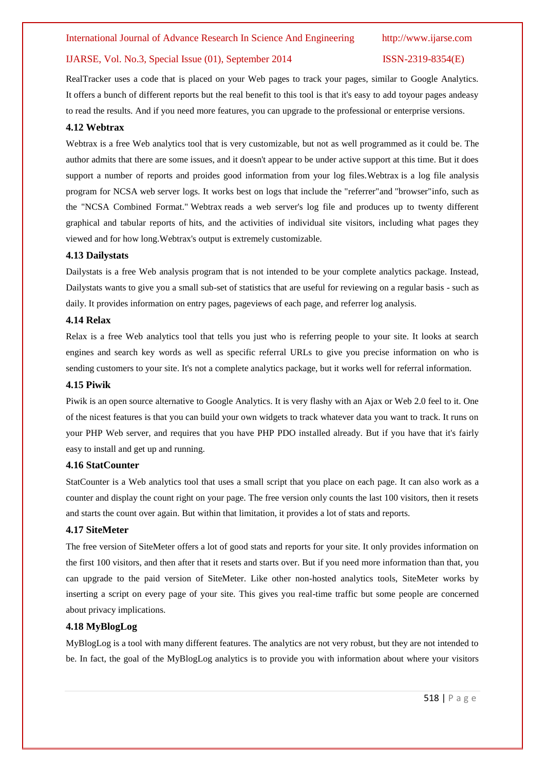RealTracker uses a code that is placed on your Web pages to track your pages, similar to Google Analytics. It offers a bunch of different reports but the real benefit to this tool is that it's easy to add toyour pages andeasy to read the results. And if you need more features, you can upgrade to the professional or enterprise versions.

# **4.12 [Webtrax](http://www.multicians.org/thvv/webtrax-help.html)**

Webtrax is a free Web analytics tool that is very customizable, but not as well programmed as it could be. The author admits that there are some issues, and it doesn't appear to be under active support at this time. But it does support a number of reports and proides good information from your log files.Webtrax is a log file analysis program for NCSA web server logs. It works best on logs that include the "referrer"and "browser"info, such as the "NCSA Combined Format." Webtrax reads a web server's log file and produces up to twenty different graphical and tabular reports of hits, and the activities of individual site visitors, including what pages they viewed and for how long.Webtrax's output is extremely customizable.

# **4.13 [Dailystats](http://www.perlfect.com/freescripts/dailystats/)**

Dailystats is a free Web analysis program that is not intended to be your complete analytics package. Instead, Dailystats wants to give you a small sub-set of statistics that are useful for reviewing on a regular basis - such as daily. It provides information on entry pages, pageviews of each page, and referrer log analysis.

# **4.14 [Relax](http://ktmatu.com/software/relax/)**

Relax is a free Web analytics tool that tells you just who is referring people to your site. It looks at search engines and search key words as well as specific referral URLs to give you precise information on who is sending customers to your site. It's not a complete analytics package, but it works well for referral information.

### **4.15 [Piwik](http://piwik.org/)**

Piwik is an open source alternative to Google Analytics. It is very flashy with an Ajax or Web 2.0 feel to it. One of the nicest features is that you can build your own widgets to track whatever data you want to track. It runs on your PHP Web server, and requires that you have PHP PDO installed already. But if you have that it's fairly easy to install and get up and running.

### **4.16 [StatCounter](http://statcounter.com/)**

StatCounter is a Web analytics tool that uses a small script that you place on each page. It can also work as a counter and display the count right on your page. The free version only counts the last 100 visitors, then it resets and starts the count over again. But within that limitation, it provides a lot of stats and reports.

### **4.17 [SiteMeter](http://www.sitemeter.com/)**

The free version of SiteMeter offers a lot of good stats and reports for your site. It only provides information on the first 100 visitors, and then after that it resets and starts over. But if you need more information than that, you can upgrade to the paid version of SiteMeter. Like other non-hosted analytics tools, SiteMeter works by inserting a script on every page of your site. This gives you real-time traffic but some people are concerned about privacy implications.

# **4.18 [MyBlogLog](http://www.mybloglog.com/)**

MyBlogLog is a tool with many different features. The analytics are not very robust, but they are not intended to be. In fact, the goal of the MyBlogLog analytics is to provide you with information about where your visitors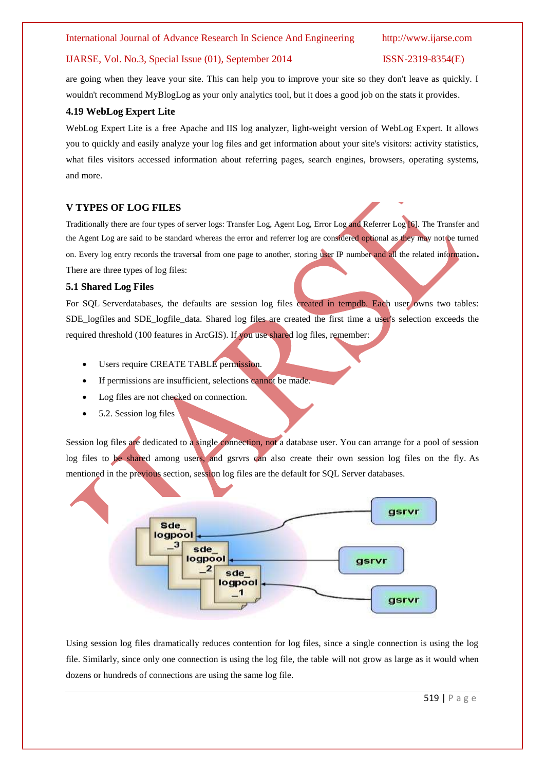# IJARSE, Vol. No.3, Special Issue (01), September 2014 ISSN-2319-8354(E)

are going when they leave your site. This can help you to improve your site so they don't leave as quickly. I wouldn't recommend MyBlogLog as your only analytics tool, but it does a good job on the stats it provides.

### **4.19 WebLog Expert Lite**

WebLog Expert Lite is a free Apache and IIS log analyzer, light-weight version of WebLog Expert. It allows you to quickly and easily analyze your log files and get information about your site's visitors: activity statistics, what files visitors accessed information about referring pages, search engines, browsers, operating systems, and more.

# **V TYPES OF LOG FILES**

Traditionally there are four types of server logs: Transfer Log, Agent Log, Error Log and Referrer Log [6]. The Transfer and the Agent Log are said to be standard whereas the error and referrer log are considered optional as they may not be turned on. Every log entry records the traversal from one page to another, storing user IP number and all the related information**.**  There are three types of log files:

### **5.1 Shared Log Files**

For SQL Serverdatabases, the defaults are session log files created in tempdb. Each user owns two tables: SDE\_logfiles and SDE\_logfile\_data. Shared log files are created the first time a user's selection exceeds the required threshold (100 features in ArcGIS). If you use shared log files, remember:

- Users require CREATE TABLE permission.
- If permissions are insufficient, selections cannot be made.
- Log files are not checked on connection.
- 5.2. Session log files

Session log files are dedicated to a single connection, not a database user. You can arrange for a pool of session log files to be shared among users, and gsrvrs can also create their own session log files on the fly. As mentioned in the previous section, session log files are the default for SQL Server databases.



Using session log files dramatically reduces contention for log files, since a single connection is using the log file. Similarly, since only one connection is using the log file, the table will not grow as large as it would when dozens or hundreds of connections are using the same log file.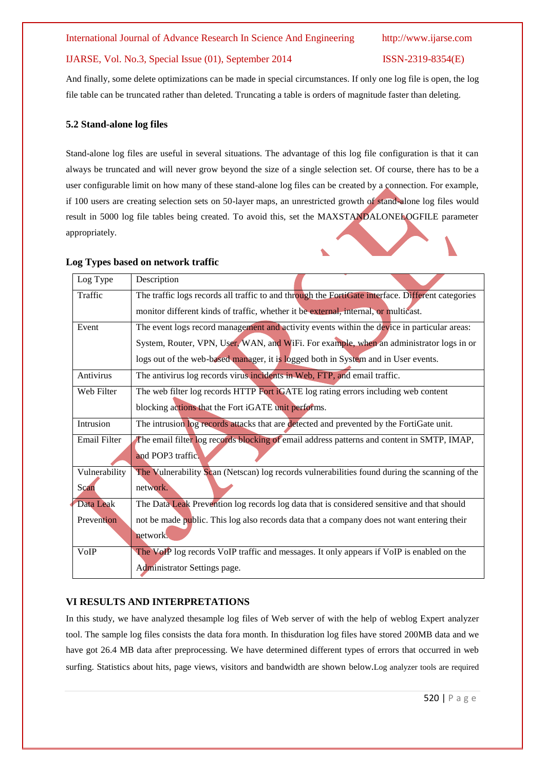# IJARSE, Vol. No.3, Special Issue (01), September 2014 ISSN-2319-8354(E)

And finally, some delete optimizations can be made in special circumstances. If only one log file is open, the log file table can be truncated rather than deleted. Truncating a table is orders of magnitude faster than deleting.

# **5.2 Stand-alone log files**

Stand-alone log files are useful in several situations. The advantage of this log file configuration is that it can always be truncated and will never grow beyond the size of a single selection set. Of course, there has to be a user configurable limit on how many of these stand-alone log files can be created by a connection. For example, if 100 users are creating selection sets on 50-layer maps, an unrestricted growth of stand-alone log files would result in 5000 log file tables being created. To avoid this, set the MAXSTANDALONELOGFILE parameter appropriately.

# **Log Types based on network traffic**

| Log Type            | Description                                                                                       |  |  |
|---------------------|---------------------------------------------------------------------------------------------------|--|--|
| Traffic             | The traffic logs records all traffic to and through the FortiGate interface. Different categories |  |  |
|                     | monitor different kinds of traffic, whether it be external, internal, or multicast.               |  |  |
| Event               | The event logs record management and activity events within the device in particular areas:       |  |  |
|                     | System, Router, VPN, User, WAN, and WiFi. For example, when an administrator logs in or           |  |  |
|                     | logs out of the web-based manager, it is logged both in System and in User events.                |  |  |
| Antivirus           | The antivirus log records virus incidents in Web, FTP, and email traffic.                         |  |  |
| Web Filter          | The web filter log records HTTP Fort iGATE log rating errors including web content                |  |  |
|                     | blocking actions that the Fort iGATE unit performs.                                               |  |  |
| Intrusion           | The intrusion log records attacks that are detected and prevented by the FortiGate unit.          |  |  |
| <b>Email Filter</b> | The email filter log records blocking of email address patterns and content in SMTP, IMAP,        |  |  |
|                     | and POP3 traffic                                                                                  |  |  |
| Vulnerability       | The Vulnerability Scan (Netscan) log records vulnerabilities found during the scanning of the     |  |  |
| Scan                | network.                                                                                          |  |  |
| Data Leak           | The Data Leak Prevention log records log data that is considered sensitive and that should        |  |  |
| Prevention          | not be made public. This log also records data that a company does not want entering their        |  |  |
|                     | network.                                                                                          |  |  |
| VoIP                | The VoIP log records VoIP traffic and messages. It only appears if VoIP is enabled on the         |  |  |
|                     | Administrator Settings page.                                                                      |  |  |

# **VI RESULTS AND INTERPRETATIONS**

In this study, we have analyzed thesample log files of Web server of with the help of weblog Expert analyzer tool. The sample log files consists the data fora month. In thisduration log files have stored 200MB data and we have got 26.4 MB data after preprocessing. We have determined different types of errors that occurred in web surfing. Statistics about hits, page views, visitors and bandwidth are shown below.Log analyzer tools are required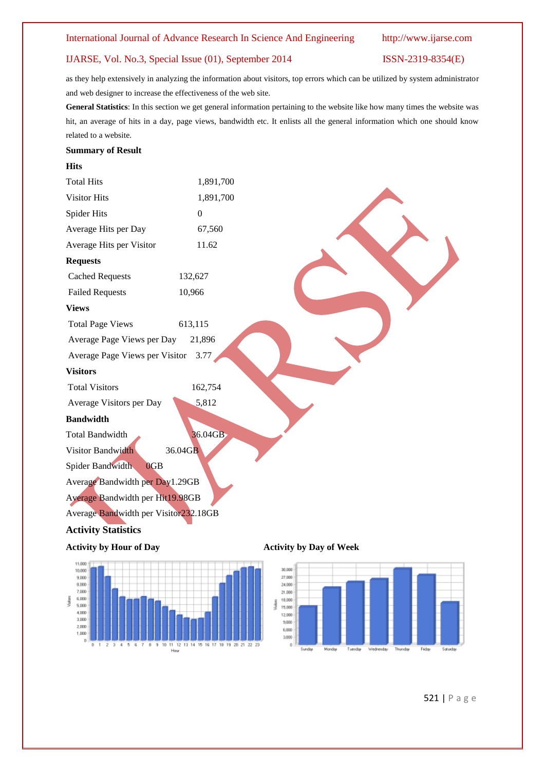# IJARSE, Vol. No.3, Special Issue (01), September 2014 ISSN-2319-8354(E)

as they help extensively in analyzing the information about visitors, top errors which can be utilized by system administrator and web designer to increase the effectiveness of the web site.

**General Statistics**: In this section we get general information pertaining to the website like how many times the website was hit, an average of hits in a day, page views, bandwidth etc. It enlists all the general information which one should know related to a website.

### **Summary of Result**

**Hits**

| <b>Total Hits</b>                     | 1,891,700 |                                |
|---------------------------------------|-----------|--------------------------------|
| <b>Visitor Hits</b>                   | 1,891,700 |                                |
| Spider Hits                           | $\Omega$  |                                |
| Average Hits per Day                  | 67,560    |                                |
| Average Hits per Visitor              | 11.62     |                                |
| <b>Requests</b>                       |           |                                |
| <b>Cached Requests</b>                | 132,627   |                                |
| <b>Failed Requests</b>                | 10,966    |                                |
| <b>Views</b>                          |           |                                |
| <b>Total Page Views</b>               | 613,115   |                                |
| Average Page Views per Day            | 21,896    |                                |
| Average Page Views per Visitor        | 3.77      |                                |
| <b>Visitors</b>                       |           |                                |
| <b>Total Visitors</b>                 | 162,754   |                                |
| Average Visitors per Day              | 5,812     |                                |
| <b>Bandwidth</b>                      |           |                                |
| <b>Total Bandwidth</b>                | 36.04GB   |                                |
| Visitor Bandwidth                     | 36.04GB   |                                |
| Spider Bandwidth<br>0GB               |           |                                |
| Average Bandwidth per Day1.29GB       |           |                                |
| Average Bandwidth per Hit19.98GB      |           |                                |
| Average Bandwidth per Visitor232.18GB |           |                                |
| <b>Activity Statistics</b>            |           |                                |
| <b>Activity by Hour of Day</b>        |           | <b>Activity by Day of Week</b> |





521 | P a g e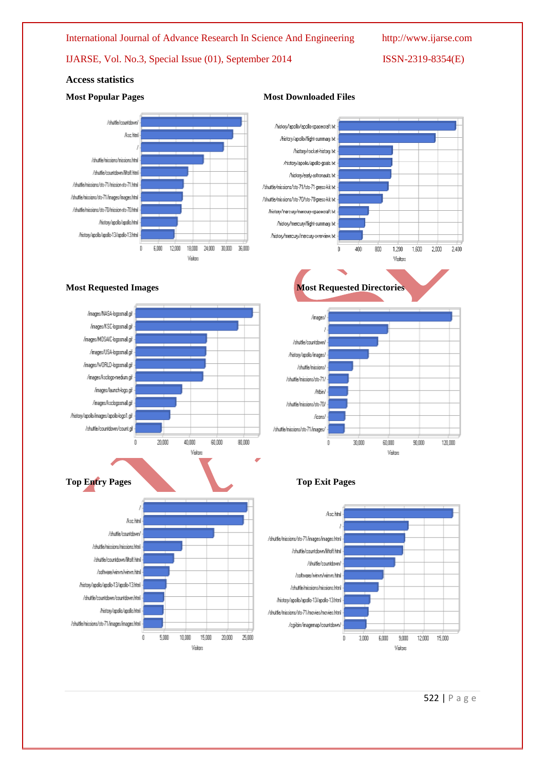**Most Popular Pages Most Downloaded Files** 

IJARSE, Vol. No.3, Special Issue (01), September 2014 ISSN-2319-8354(E)

# **Access statistics**

### Abdile/continue/ Acc kini /shuttle/hissions/nissions.html /shuttle/countdown/liftoft.html Intiffeduction/Test/ansigned.html /shuttle/niccions/sts-71/mages/mages.html /shuttle/nissigns/sts-7D/mission-sts-70.html /history/apollo/apollo.html /history/apollo/apollo-13/apollo-13.html ī s mn 12000 24,000 anim asom 18000 Visions







**Most Requested Images Most Requested Directories** 





522 | P a g e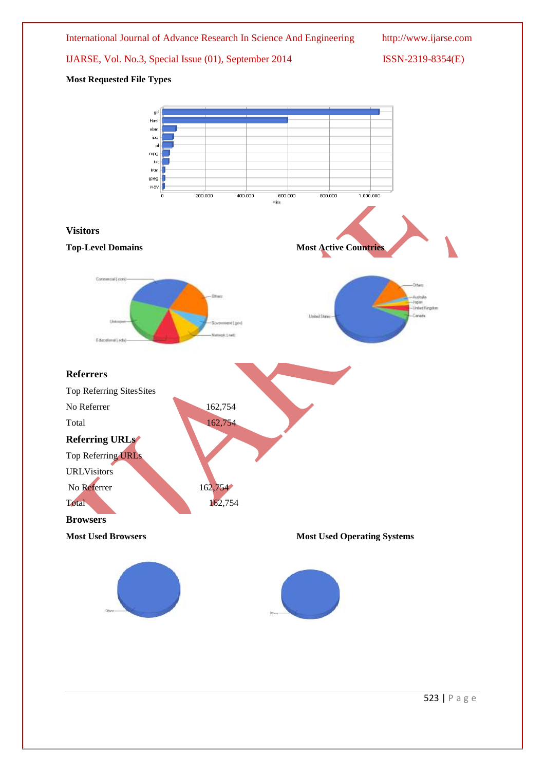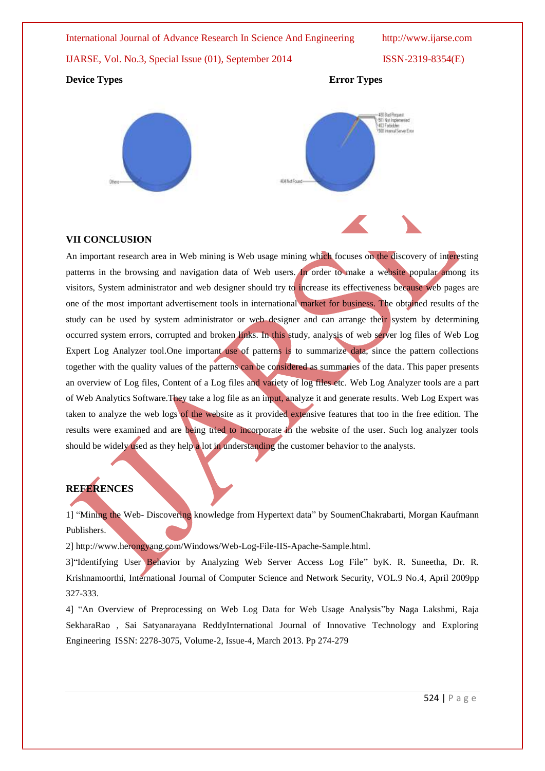# IJARSE, Vol. No.3, Special Issue (01), September 2014 ISSN-2319-8354(E)

# **Device Types** Error Types





# **VII CONCLUSION**

An important research area in Web mining is Web usage mining which focuses on the discovery of interesting patterns in the browsing and navigation data of Web users. In order to make a website popular among its visitors, System administrator and web designer should try to increase its effectiveness because web pages are one of the most important advertisement tools in international market for business. The obtained results of the study can be used by system administrator or web designer and can arrange their system by determining occurred system errors, corrupted and broken links. In this study, analysis of web server log files of Web Log Expert Log Analyzer tool.One important use of patterns is to summarize data, since the pattern collections together with the quality values of the patterns can be considered as summaries of the data. This paper presents an overview of Log files, Content of a Log files and variety of log files etc. Web Log Analyzer tools are a part of Web Analytics Software.They take a log file as an input, analyze it and generate results. Web Log Expert was taken to analyze the web logs of the website as it provided extensive features that too in the free edition. The results were examined and are being tried to incorporate in the website of the user. Such log analyzer tools should be widely used as they help a lot in understanding the customer behavior to the analysts.

# **REFERENCES**

1] "Mining the Web- Discovering knowledge from Hypertext data" by [SoumenChakrabarti,](http://www.amazon.com/s/ref=rdr_kindle_ext_aut?_encoding=UTF8&index=books&field-author=Soumen%20Chakrabarti) Morgan Kaufmann Publishers.

2] [http://www.herongyang.com/Windows/Web-Log-File-IIS-Apache-Sample.html.](http://www.herongyang.com/Windows/Web-Log-File-IIS-Apache-Sample.html)

3]"Identifying User Behavior by Analyzing Web Server Access Log File" byK. R. Suneetha, Dr. R. Krishnamoorthi, International Journal of Computer Science and Network Security, VOL.9 No.4, April 2009pp 327-333.

4] "An Overview of Preprocessing on Web Log Data for Web Usage Analysis"by Naga Lakshmi, Raja SekharaRao , Sai Satyanarayana ReddyInternational Journal of Innovative Technology and Exploring Engineering ISSN: 2278-3075, Volume-2, Issue-4, March 2013. Pp 274-279